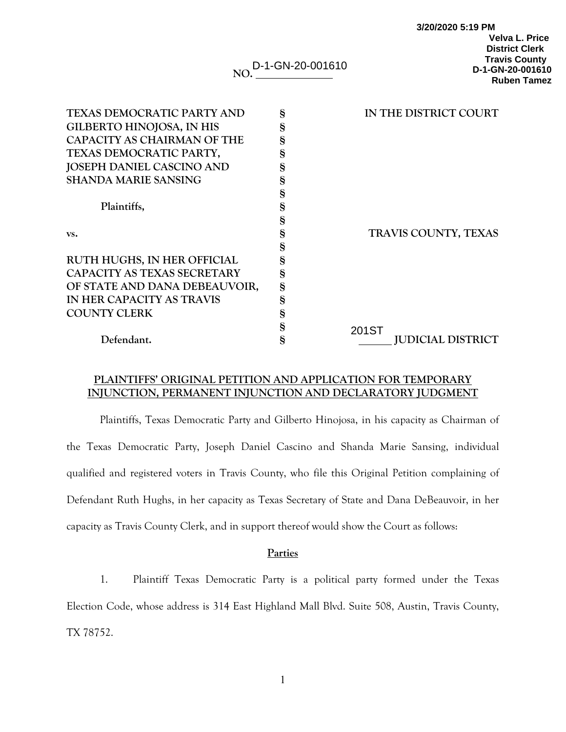| NO.                                | D-1-GN-20-001610 | <b>Velva L. Price</b><br><b>District Clerk</b><br><b>Travis County</b><br>D-1-GN-20-001610<br><b>Ruben Tamez</b> |
|------------------------------------|------------------|------------------------------------------------------------------------------------------------------------------|
| <b>TEXAS DEMOCRATIC PARTY AND</b>  | §                | IN THE DISTRICT COURT                                                                                            |
| <b>GILBERTO HINOJOSA, IN HIS</b>   | §                |                                                                                                                  |
| <b>CAPACITY AS CHAIRMAN OF THE</b> | §                |                                                                                                                  |
| TEXAS DEMOCRATIC PARTY,            | $\S$             |                                                                                                                  |
| <b>JOSEPH DANIEL CASCINO AND</b>   | §                |                                                                                                                  |
| <b>SHANDA MARIE SANSING</b>        | §                |                                                                                                                  |
|                                    | $\S$             |                                                                                                                  |
| Plaintiffs,                        | §                |                                                                                                                  |
|                                    | $\S$             |                                                                                                                  |
| VS.                                | $\S$             | TRAVIS COUNTY, TEXAS                                                                                             |
|                                    | $\S$             |                                                                                                                  |
| RUTH HUGHS, IN HER OFFICIAL        | §                |                                                                                                                  |
| CAPACITY AS TEXAS SECRETARY        | $\S$             |                                                                                                                  |
| OF STATE AND DANA DEBEAUVOIR,      | $\S$             |                                                                                                                  |
| IN HER CAPACITY AS TRAVIS          | $\S$             |                                                                                                                  |
| <b>COUNTY CLERK</b>                | $\S$             |                                                                                                                  |
|                                    | $\S$             | 201ST                                                                                                            |
| Defendant.                         | §                | <b>JUDICIAL DISTRICT</b>                                                                                         |

**3/20/2020 5:19 PM** 

# **PLAINTIFFS' ORIGINAL PETITION AND APPLICATION FOR TEMPORARY INJUNCTION, PERMANENT INJUNCTION AND DECLARATORY JUDGMENT**

Plaintiffs, Texas Democratic Party and Gilberto Hinojosa, in his capacity as Chairman of the Texas Democratic Party, Joseph Daniel Cascino and Shanda Marie Sansing, individual qualified and registered voters in Travis County, who file this Original Petition complaining of Defendant Ruth Hughs, in her capacity as Texas Secretary of State and Dana DeBeauvoir, in her capacity as Travis County Clerk, and in support thereof would show the Court as follows:

### **Parties**

1. Plaintiff Texas Democratic Party is a political party formed under the Texas Election Code, whose address is 314 East Highland Mall Blvd. Suite 508, Austin, Travis County, TX 78752.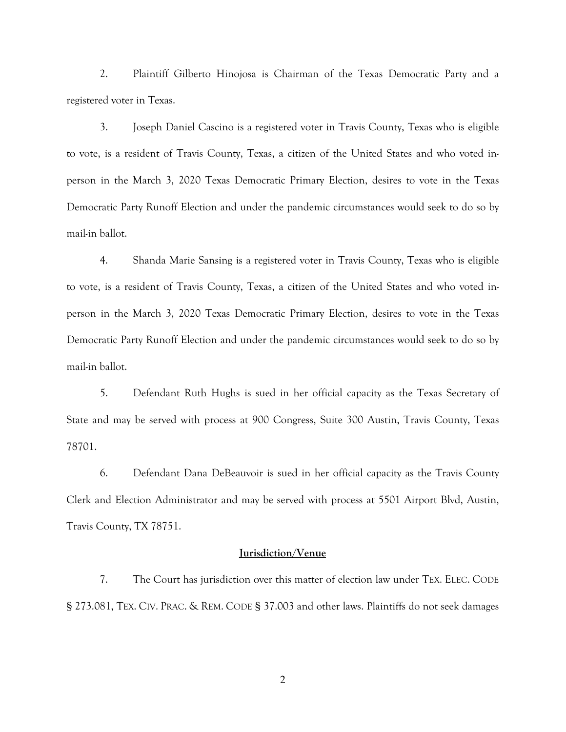2. Plaintiff Gilberto Hinojosa is Chairman of the Texas Democratic Party and a registered voter in Texas.

3. Joseph Daniel Cascino is a registered voter in Travis County, Texas who is eligible to vote, is a resident of Travis County, Texas, a citizen of the United States and who voted inperson in the March 3, 2020 Texas Democratic Primary Election, desires to vote in the Texas Democratic Party Runoff Election and under the pandemic circumstances would seek to do so by mail-in ballot.

4. Shanda Marie Sansing is a registered voter in Travis County, Texas who is eligible to vote, is a resident of Travis County, Texas, a citizen of the United States and who voted inperson in the March 3, 2020 Texas Democratic Primary Election, desires to vote in the Texas Democratic Party Runoff Election and under the pandemic circumstances would seek to do so by mail-in ballot.

5. Defendant Ruth Hughs is sued in her official capacity as the Texas Secretary of State and may be served with process at 900 Congress, Suite 300 Austin, Travis County, Texas 78701.

6. Defendant Dana DeBeauvoir is sued in her official capacity as the Travis County Clerk and Election Administrator and may be served with process at 5501 Airport Blvd, Austin, Travis County, TX 78751.

## **Jurisdiction/Venue**

7. The Court has jurisdiction over this matter of election law under TEX. ELEC. CODE § 273.081, TEX. CIV. PRAC. & REM. CODE § 37.003 and other laws. Plaintiffs do not seek damages

2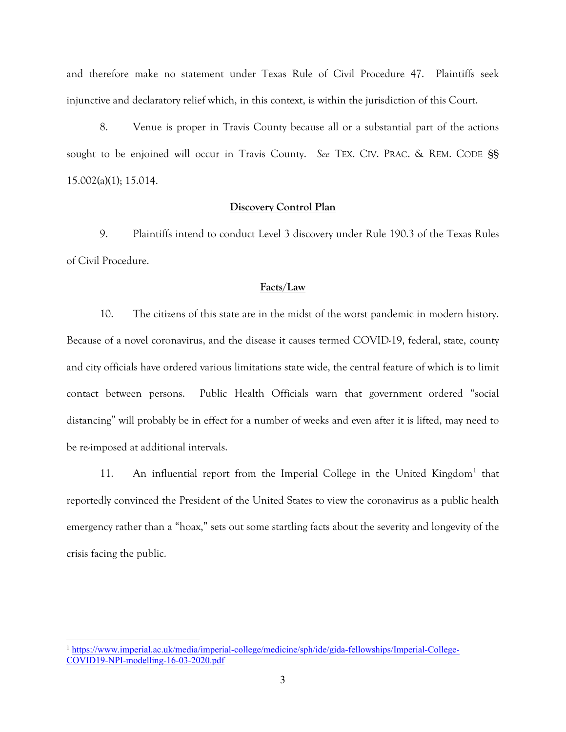and therefore make no statement under Texas Rule of Civil Procedure 47. Plaintiffs seek injunctive and declaratory relief which, in this context, is within the jurisdiction of this Court.

8. Venue is proper in Travis County because all or a substantial part of the actions sought to be enjoined will occur in Travis County. *See* TEX. CIV. PRAC. & REM. CODE §§ 15.002(a)(1); 15.014.

#### **Discovery Control Plan**

9. Plaintiffs intend to conduct Level 3 discovery under Rule 190.3 of the Texas Rules of Civil Procedure.

### **Facts/Law**

10. The citizens of this state are in the midst of the worst pandemic in modern history. Because of a novel coronavirus, and the disease it causes termed COVID-19, federal, state, county and city officials have ordered various limitations state wide, the central feature of which is to limit contact between persons. Public Health Officials warn that government ordered "social distancing" will probably be in effect for a number of weeks and even after it is lifted, may need to be re-imposed at additional intervals.

[1](#page-2-0)1. An influential report from the Imperial College in the United Kingdom<sup>1</sup> that reportedly convinced the President of the United States to view the coronavirus as a public health emergency rather than a "hoax," sets out some startling facts about the severity and longevity of the crisis facing the public.

<span id="page-2-0"></span><sup>1</sup> [https://www.imperial.ac.uk/media/imperial-college/medicine/sph/ide/gida-fellowships/Imperial-College-](https://www.imperial.ac.uk/media/imperial-college/medicine/sph/ide/gida-fellowships/Imperial-College-COVID19-NPI-modelling-16-03-2020.pdf)[COVID19-NPI-modelling-16-03-2020.pdf](https://www.imperial.ac.uk/media/imperial-college/medicine/sph/ide/gida-fellowships/Imperial-College-COVID19-NPI-modelling-16-03-2020.pdf)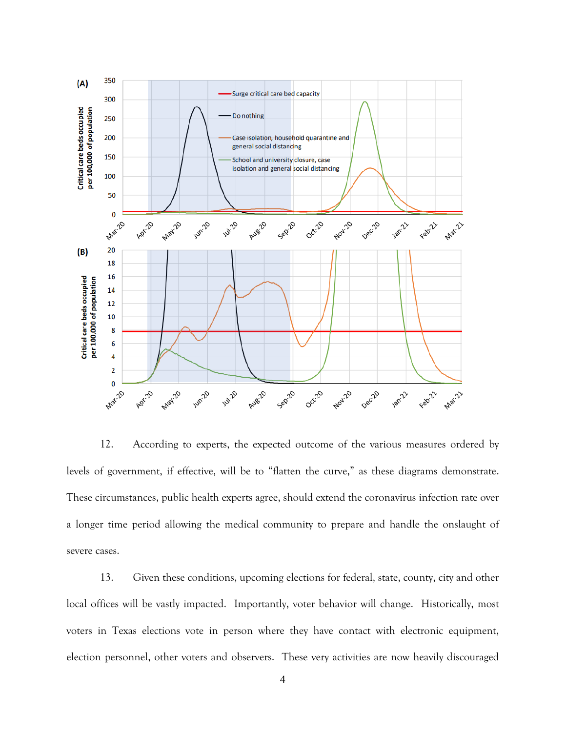

12. According to experts, the expected outcome of the various measures ordered by levels of government, if effective, will be to "flatten the curve," as these diagrams demonstrate. These circumstances, public health experts agree, should extend the coronavirus infection rate over a longer time period allowing the medical community to prepare and handle the onslaught of severe cases.

13. Given these conditions, upcoming elections for federal, state, county, city and other local offices will be vastly impacted. Importantly, voter behavior will change. Historically, most voters in Texas elections vote in person where they have contact with electronic equipment, election personnel, other voters and observers. These very activities are now heavily discouraged